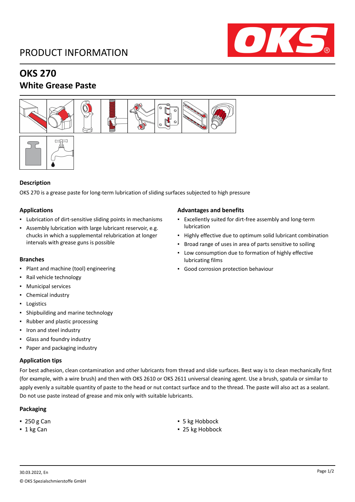## PRODUCT INFORMATION



## **OKS 270**

## **White Grease Paste**





#### **Description**

OKS 270 is a grease paste for long-term lubrication of sliding surfaces subjected to high pressure

#### **Applications**

- Lubrication of dirt-sensitive sliding points in mechanisms
- Assembly lubrication with large lubricant reservoir, e.g. chucks in which a supplemental relubrication at longer intervals with grease guns is possible

#### **Branches**

- Plant and machine (tool) engineering
- Rail vehicle technology
- Municipal services
- Chemical industry
- Logistics
- Shipbuilding and marine technology
- Rubber and plastic processing
- Iron and steel industry
- Glass and foundry industry
- Paper and packaging industry

#### **Application tips**

For best adhesion, clean contamination and other lubricants from thread and slide surfaces. Best way is to clean mechanically first (for example, with a wire brush) and then with OKS 2610 or OKS 2611 universal cleaning agent. Use a brush, spatula or similar to apply evenly a suitable quantity of paste to the head or nut contact surface and to the thread. The paste will also act as a sealant. Do not use paste instead of grease and mix only with suitable lubricants.

### **Packaging**

- 
- 

#### **Advantages and benefits**

- Excellently suited for dirt-free assembly and long-term lubrication
- Highly effective due to optimum solid lubricant combination
- Broad range of uses in area of parts sensitive to soiling
- Low consumption due to formation of highly effective lubricating films
- Good corrosion protection behaviour

- 250 g Can **■** 5 kg Hobbock
- 1 kg Can **■** 25 kg Hobbock